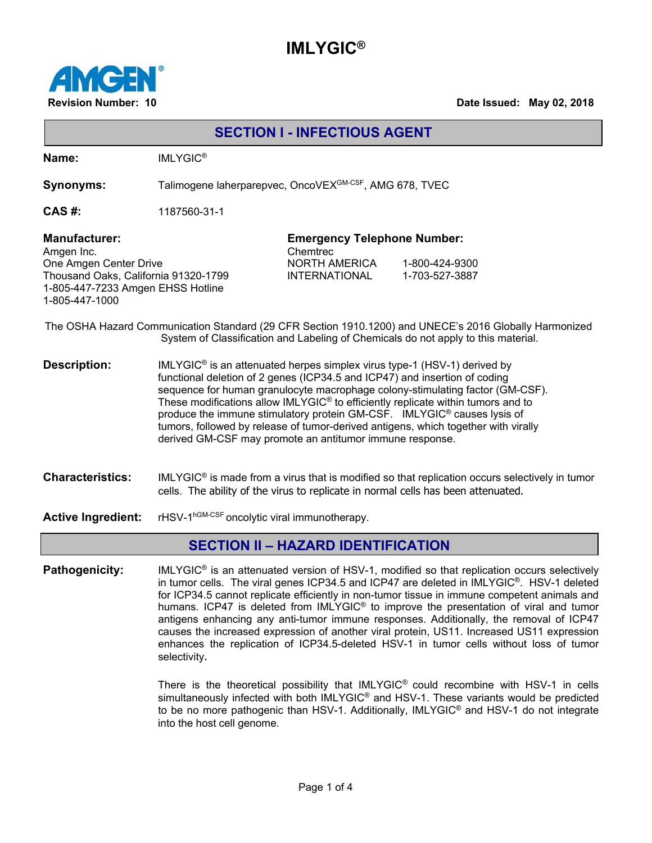## **IMLYGIC®**



**Revision Number: 10 Date Issued: May 02, 2018**

| <b>SECTION I - INFECTIOUS AGENT</b>                                                                                                                                                         |                                                                                                                                                                                                                                                                                                                                                                                                                                                                                                                                                                                  |                                                                                         |                                  |  |  |
|---------------------------------------------------------------------------------------------------------------------------------------------------------------------------------------------|----------------------------------------------------------------------------------------------------------------------------------------------------------------------------------------------------------------------------------------------------------------------------------------------------------------------------------------------------------------------------------------------------------------------------------------------------------------------------------------------------------------------------------------------------------------------------------|-----------------------------------------------------------------------------------------|----------------------------------|--|--|
| Name:                                                                                                                                                                                       | <b>IMLYGIC<sup>®</sup></b>                                                                                                                                                                                                                                                                                                                                                                                                                                                                                                                                                       |                                                                                         |                                  |  |  |
| <b>Synonyms:</b>                                                                                                                                                                            | Talimogene laherparepvec, OncoVEX <sup>GM-CSF</sup> , AMG 678, TVEC                                                                                                                                                                                                                                                                                                                                                                                                                                                                                                              |                                                                                         |                                  |  |  |
| CAS#:                                                                                                                                                                                       | 1187560-31-1                                                                                                                                                                                                                                                                                                                                                                                                                                                                                                                                                                     |                                                                                         |                                  |  |  |
| <b>Manufacturer:</b><br>Amgen Inc.<br>One Amgen Center Drive<br>Thousand Oaks, California 91320-1799<br>1-805-447-7233 Amgen EHSS Hotline<br>1-805-447-1000                                 |                                                                                                                                                                                                                                                                                                                                                                                                                                                                                                                                                                                  | <b>Emergency Telephone Number:</b><br>Chemtrec<br>NORTH AMERICA<br><b>INTERNATIONAL</b> | 1-800-424-9300<br>1-703-527-3887 |  |  |
| The OSHA Hazard Communication Standard (29 CFR Section 1910.1200) and UNECE's 2016 Globally Harmonized<br>System of Classification and Labeling of Chemicals do not apply to this material. |                                                                                                                                                                                                                                                                                                                                                                                                                                                                                                                                                                                  |                                                                                         |                                  |  |  |
| <b>Description:</b>                                                                                                                                                                         | IMLYGIC <sup>®</sup> is an attenuated herpes simplex virus type-1 (HSV-1) derived by<br>functional deletion of 2 genes (ICP34.5 and ICP47) and insertion of coding<br>sequence for human granulocyte macrophage colony-stimulating factor (GM-CSF).<br>These modifications allow IMLYGIC <sup>®</sup> to efficiently replicate within tumors and to<br>produce the immune stimulatory protein GM-CSF. IMLYGIC® causes lysis of<br>tumors, followed by release of tumor-derived antigens, which together with virally<br>derived GM-CSF may promote an antitumor immune response. |                                                                                         |                                  |  |  |
| <b>Characteristics:</b>                                                                                                                                                                     | IMLYGIC <sup>®</sup> is made from a virus that is modified so that replication occurs selectively in tumor<br>cells. The ability of the virus to replicate in normal cells has been attenuated.                                                                                                                                                                                                                                                                                                                                                                                  |                                                                                         |                                  |  |  |
| <b>Active Ingredient:</b>                                                                                                                                                                   | rHSV-1 <sup>hGM-CSF</sup> oncolytic viral immunotherapy.                                                                                                                                                                                                                                                                                                                                                                                                                                                                                                                         |                                                                                         |                                  |  |  |

### **SECTION II – HAZARD IDENTIFICATION**

Pathogenicity: **IMLYGIC<sup>®</sup>** is an attenuated version of HSV-1, modified so that replication occurs selectively in tumor cells. The viral genes ICP34.5 and ICP47 are deleted in IMLYGIC®. HSV-1 deleted for ICP34.5 cannot replicate efficiently in non-tumor tissue in immune competent animals and humans. ICP47 is deleted from IMLYGIC® to improve the presentation of viral and tumor antigens enhancing any anti-tumor immune responses. Additionally, the removal of ICP47 causes the increased expression of another viral protein, US11. Increased US11 expression enhances the replication of ICP34.5-deleted HSV-1 in tumor cells without loss of tumor selectivity.

> There is the theoretical possibility that IMLYGIC® could recombine with HSV-1 in cells simultaneously infected with both IMLYGIC® and HSV-1. These variants would be predicted to be no more pathogenic than HSV-1. Additionally, IMLYGIC® and HSV-1 do not integrate into the host cell genome.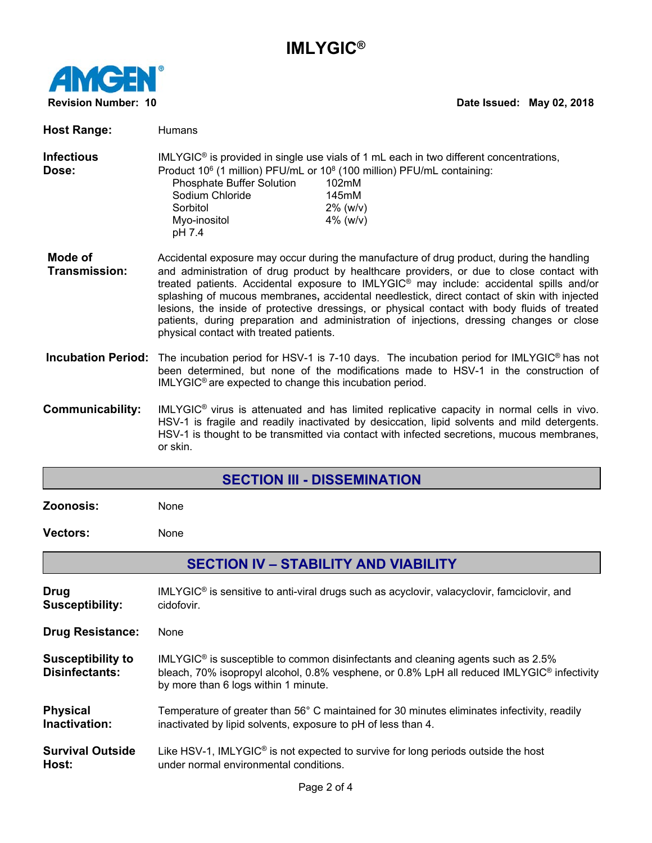# **IMLYGIC®**



## **Revision Number: 10 Date Issued: May 02, 2018**

| <b>Host Range:</b>                                | Humans                                                                                                                                                                                                                                                                                                                                                                                                                                                                                                                                                                                                                             |  |  |  |
|---------------------------------------------------|------------------------------------------------------------------------------------------------------------------------------------------------------------------------------------------------------------------------------------------------------------------------------------------------------------------------------------------------------------------------------------------------------------------------------------------------------------------------------------------------------------------------------------------------------------------------------------------------------------------------------------|--|--|--|
| <b>Infectious</b><br>Dose:                        | IMLYGIC <sup>®</sup> is provided in single use vials of 1 mL each in two different concentrations,<br>Product 10 <sup>6</sup> (1 million) PFU/mL or 10 <sup>8</sup> (100 million) PFU/mL containing:<br>Phosphate Buffer Solution<br>102mM<br>Sodium Chloride<br>145mM<br>Sorbitol<br>$2\%$ (w/v)<br>Myo-inositol<br>4% ( $W/V$ )<br>pH 7.4                                                                                                                                                                                                                                                                                        |  |  |  |
| Mode of<br><b>Transmission:</b>                   | Accidental exposure may occur during the manufacture of drug product, during the handling<br>and administration of drug product by healthcare providers, or due to close contact with<br>treated patients. Accidental exposure to IMLYGIC <sup>®</sup> may include: accidental spills and/or<br>splashing of mucous membranes, accidental needlestick, direct contact of skin with injected<br>lesions, the inside of protective dressings, or physical contact with body fluids of treated<br>patients, during preparation and administration of injections, dressing changes or close<br>physical contact with treated patients. |  |  |  |
|                                                   | Incubation Period: The incubation period for HSV-1 is 7-10 days. The incubation period for IMLYGIC <sup>®</sup> has not<br>been determined, but none of the modifications made to HSV-1 in the construction of<br>IMLYGIC <sup>®</sup> are expected to change this incubation period.                                                                                                                                                                                                                                                                                                                                              |  |  |  |
| <b>Communicability:</b>                           | IMLYGIC <sup>®</sup> virus is attenuated and has limited replicative capacity in normal cells in vivo.<br>HSV-1 is fragile and readily inactivated by desiccation, lipid solvents and mild detergents.<br>HSV-1 is thought to be transmitted via contact with infected secretions, mucous membranes,<br>or skin.                                                                                                                                                                                                                                                                                                                   |  |  |  |
| <b>SECTION III - DISSEMINATION</b>                |                                                                                                                                                                                                                                                                                                                                                                                                                                                                                                                                                                                                                                    |  |  |  |
|                                                   |                                                                                                                                                                                                                                                                                                                                                                                                                                                                                                                                                                                                                                    |  |  |  |
| Zoonosis:                                         | None                                                                                                                                                                                                                                                                                                                                                                                                                                                                                                                                                                                                                               |  |  |  |
| <b>Vectors:</b>                                   | None                                                                                                                                                                                                                                                                                                                                                                                                                                                                                                                                                                                                                               |  |  |  |
|                                                   | <b>SECTION IV - STABILITY AND VIABILITY</b>                                                                                                                                                                                                                                                                                                                                                                                                                                                                                                                                                                                        |  |  |  |
| Drug<br><b>Susceptibility:</b>                    | IMLYGIC <sup>®</sup> is sensitive to anti-viral drugs such as acyclovir, valacyclovir, famciclovir, and<br>cidofovir.                                                                                                                                                                                                                                                                                                                                                                                                                                                                                                              |  |  |  |
| <b>Drug Resistance:</b>                           | None                                                                                                                                                                                                                                                                                                                                                                                                                                                                                                                                                                                                                               |  |  |  |
| <b>Susceptibility to</b><br><b>Disinfectants:</b> | IMLYGIC <sup>®</sup> is susceptible to common disinfectants and cleaning agents such as 2.5%<br>bleach, 70% isopropyl alcohol, 0.8% vesphene, or 0.8% LpH all reduced IMLYGIC <sup>®</sup> infectivity<br>by more than 6 logs within 1 minute.                                                                                                                                                                                                                                                                                                                                                                                     |  |  |  |
| <b>Physical</b><br>Inactivation:                  | Temperature of greater than 56° C maintained for 30 minutes eliminates infectivity, readily<br>inactivated by lipid solvents, exposure to pH of less than 4.                                                                                                                                                                                                                                                                                                                                                                                                                                                                       |  |  |  |
| <b>Survival Outside</b><br>Host:                  | Like HSV-1, IMLYGIC <sup>®</sup> is not expected to survive for long periods outside the host<br>under normal environmental conditions.                                                                                                                                                                                                                                                                                                                                                                                                                                                                                            |  |  |  |
|                                                   | Page 2 of 4                                                                                                                                                                                                                                                                                                                                                                                                                                                                                                                                                                                                                        |  |  |  |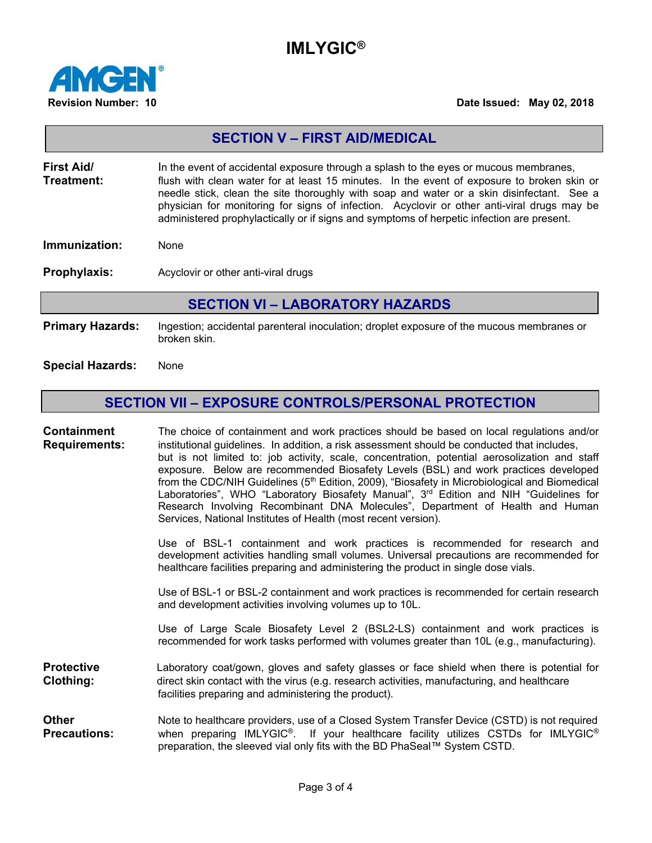## **IMLYGIC®**



#### **Revision Number: 10 Date Issued: May 02, 2018**

| <b>SECTION V - FIRST AID/MEDICAL</b>                       |                                                                                                                                                                                                                                                                                                                                                                                                                                                                              |  |  |  |
|------------------------------------------------------------|------------------------------------------------------------------------------------------------------------------------------------------------------------------------------------------------------------------------------------------------------------------------------------------------------------------------------------------------------------------------------------------------------------------------------------------------------------------------------|--|--|--|
| First Aid/<br>Treatment:                                   | In the event of accidental exposure through a splash to the eyes or mucous membranes,<br>flush with clean water for at least 15 minutes. In the event of exposure to broken skin or<br>needle stick, clean the site thoroughly with soap and water or a skin disinfectant. See a<br>physician for monitoring for signs of infection. Acyclovir or other anti-viral drugs may be<br>administered prophylactically or if signs and symptoms of herpetic infection are present. |  |  |  |
| Immunization:                                              | None                                                                                                                                                                                                                                                                                                                                                                                                                                                                         |  |  |  |
| Prophylaxis:                                               | Acyclovir or other anti-viral drugs                                                                                                                                                                                                                                                                                                                                                                                                                                          |  |  |  |
| <b>SECTION VI - LABORATORY HAZARDS</b>                     |                                                                                                                                                                                                                                                                                                                                                                                                                                                                              |  |  |  |
| <b>Primary Hazards:</b>                                    | Ingestion; accidental parenteral inoculation; droplet exposure of the mucous membranes or<br>broken skin.                                                                                                                                                                                                                                                                                                                                                                    |  |  |  |
| <b>Special Hazards:</b>                                    | None                                                                                                                                                                                                                                                                                                                                                                                                                                                                         |  |  |  |
| <b>SECTION VII - EXPOSURE CONTROLS/PERSONAL PROTECTION</b> |                                                                                                                                                                                                                                                                                                                                                                                                                                                                              |  |  |  |
| <b>Containment</b><br><b>Requirements:</b>                 | The choice of containment and work practices should be based on local regulations and/or<br>institutional guidelines. In addition, a risk assessment should be conducted that includes,<br>but is not limited to: job activity, scale, concentration, potential aerosolization and staff<br>exposure Below are recommended Biosafety Levels (BSL) and work practices developed                                                                                               |  |  |  |

Below are recommended Biosafety Levels (BSL) and work practices developed from the CDC/NIH Guidelines (5<sup>th</sup> Edition, 2009), "Biosafety in Microbiological and Biomedical Laboratories", WHO "Laboratory Biosafety Manual", 3<sup>rd</sup> Edition and NIH "Guidelines for Research Involving Recombinant DNA Molecules", Department of Health and Human Services, National Institutes of Health (most recent version).

Use of BSL-1 containment and work practices is recommended for research and development activities handling small volumes. Universal precautions are recommended for healthcare facilities preparing and administering the product in single dose vials.

Use of BSL-1 or BSL-2 containment and work practices is recommended for certain research and development activities involving volumes up to 10L.

Use of Large Scale Biosafety Level 2 (BSL2-LS) containment and work practices is recommended for work tasks performed with volumes greater than 10L (e.g., manufacturing).

**Protective Laboratory coat/gown, gloves and safety glasses or face shield when there is potential for Clothing:** direct skin contact with the virus (e.g. research activities, manufacturing, and healthcare facilities preparing and administering the product).

**Other** Note to healthcare providers, use of a Closed System Transfer Device (CSTD) is not required **Precautions:** when preparing IMLYGIC®. If your healthcare facility utilizes CSTDs for IMLYGIC® preparation, the sleeved vial only fits with the BD PhaSeal™ System CSTD.